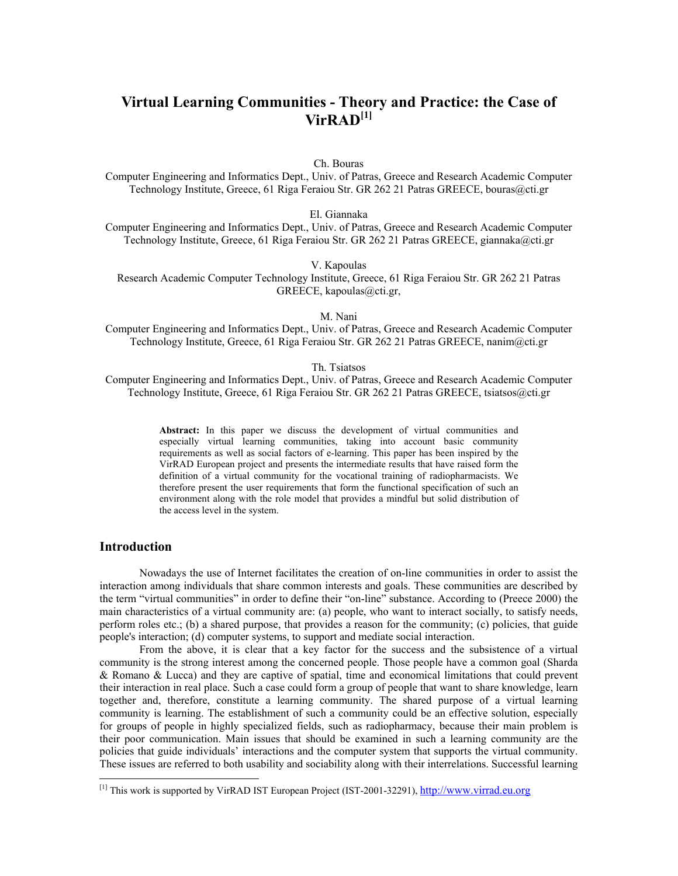# **Virtual Learning Communities - Theory and Practice: the Case of VirRAD[[1\]](#page-0-0)**

Ch. Bouras

Computer Engineering and Informatics Dept., Univ. of Patras, Greece and Research Academic Computer Technology Institute, Greece, 61 Riga Feraiou Str. GR 262 21 Patras GREECE, bouras@cti.gr

El. Giannaka

Computer Engineering and Informatics Dept., Univ. of Patras, Greece and Research Academic Computer Technology Institute, Greece, 61 Riga Feraiou Str. GR 262 21 Patras GREECE, giannaka@cti.gr

V. Kapoulas

Research Academic Computer Technology Institute, Greece, 61 Riga Feraiou Str. GR 262 21 Patras GREECE, kapoulas@cti.gr,

M. Nani

Computer Engineering and Informatics Dept., Univ. of Patras, Greece and Research Academic Computer Technology Institute, Greece, 61 Riga Feraiou Str. GR 262 21 Patras GREECE, nanim@cti.gr

### Th. Tsiatsos

Computer Engineering and Informatics Dept., Univ. of Patras, Greece and Research Academic Computer Technology Institute, Greece, 61 Riga Feraiou Str. GR 262 21 Patras GREECE, tsiatsos@cti.gr

> **Abstract:** In this paper we discuss the development of virtual communities and especially virtual learning communities, taking into account basic community requirements as well as social factors of e-learning. This paper has been inspired by the VirRAD European project and presents the intermediate results that have raised form the definition of a virtual community for the vocational training of radiopharmacists. We therefore present the user requirements that form the functional specification of such an environment along with the role model that provides a mindful but solid distribution of the access level in the system.

# **Introduction**

 $\overline{\phantom{a}}$ 

Nowadays the use of Internet facilitates the creation of on-line communities in order to assist the interaction among individuals that share common interests and goals. These communities are described by the term "virtual communities" in order to define their "on-line" substance. According to (Preece 2000) the main characteristics of a virtual community are: (a) people, who want to interact socially, to satisfy needs, perform roles etc.; (b) a shared purpose, that provides a reason for the community; (c) policies, that guide people's interaction; (d) computer systems, to support and mediate social interaction.

From the above, it is clear that a key factor for the success and the subsistence of a virtual community is the strong interest among the concerned people. Those people have a common goal (Sharda & Romano & Lucca) and they are captive of spatial, time and economical limitations that could prevent their interaction in real place. Such a case could form a group of people that want to share knowledge, learn together and, therefore, constitute a learning community. The shared purpose of a virtual learning community is learning. The establishment of such a community could be an effective solution, especially for groups of people in highly specialized fields, such as radiopharmacy, because their main problem is their poor communication. Main issues that should be examined in such a learning community are the policies that guide individuals' interactions and the computer system that supports the virtual community. These issues are referred to both usability and sociability along with their interrelations. Successful learning

<span id="page-0-0"></span><sup>[1]</sup> This work is supported by VirRAD IST European Project (IST-2001-32291), [http://www.virrad.eu.org](http://www.virrad.eu.org/)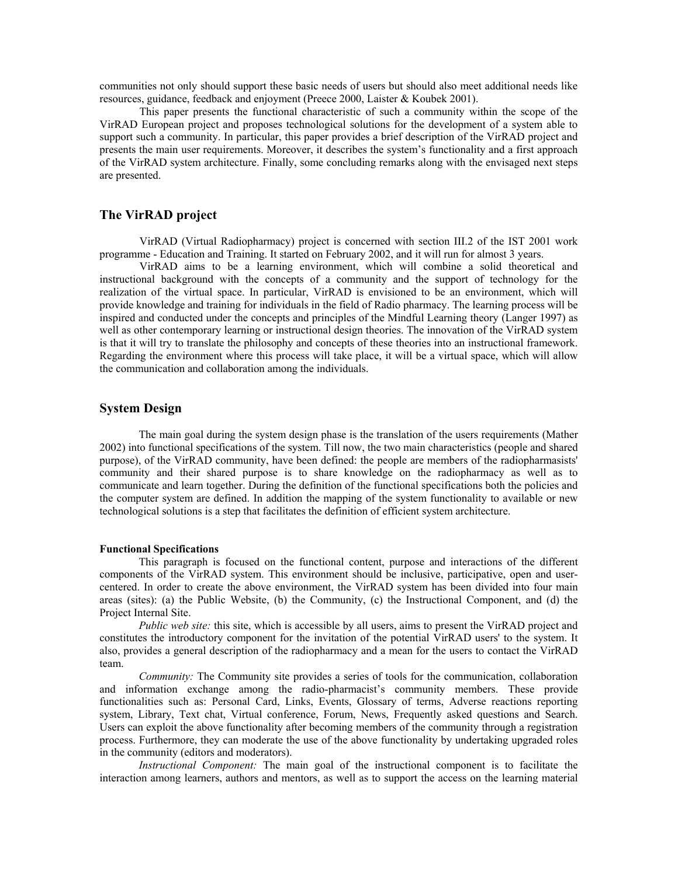communities not only should support these basic needs of users but should also meet additional needs like resources, guidance, feedback and enjoyment (Preece 2000, Laister & Koubek 2001).

This paper presents the functional characteristic of such a community within the scope of the VirRAD European project and proposes technological solutions for the development of a system able to support such a community. In particular, this paper provides a brief description of the VirRAD project and presents the main user requirements. Moreover, it describes the system's functionality and a first approach of the VirRAD system architecture. Finally, some concluding remarks along with the envisaged next steps are presented.

## **The VirRAD project**

VirRAD (Virtual Radiopharmacy) project is concerned with section III.2 of the IST 2001 work programme - Education and Training. It started on February 2002, and it will run for almost 3 years.

VirRAD aims to be a learning environment, which will combine a solid theoretical and instructional background with the concepts of a community and the support of technology for the realization of the virtual space. In particular, VirRAD is envisioned to be an environment, which will provide knowledge and training for individuals in the field of Radio pharmacy. The learning process will be inspired and conducted under the concepts and principles of the Mindful Learning theory (Langer 1997) as well as other contemporary learning or instructional design theories. The innovation of the VirRAD system is that it will try to translate the philosophy and concepts of these theories into an instructional framework. Regarding the environment where this process will take place, it will be a virtual space, which will allow the communication and collaboration among the individuals.

# **System Design**

The main goal during the system design phase is the translation of the users requirements (Mather 2002) into functional specifications of the system. Till now, the two main characteristics (people and shared purpose), of the VirRAD community, have been defined: the people are members of the radiopharmasists' community and their shared purpose is to share knowledge on the radiopharmacy as well as to communicate and learn together. During the definition of the functional specifications both the policies and the computer system are defined. In addition the mapping of the system functionality to available or new technological solutions is a step that facilitates the definition of efficient system architecture.

#### **Functional Specifications**

This paragraph is focused on the functional content, purpose and interactions of the different components of the VirRAD system. This environment should be inclusive, participative, open and usercentered. In order to create the above environment, the VirRAD system has been divided into four main areas (sites): (a) the Public Website, (b) the Community, (c) the Instructional Component, and (d) the Project Internal Site.

*Public web site:* this site, which is accessible by all users, aims to present the VirRAD project and constitutes the introductory component for the invitation of the potential VirRAD users' to the system. It also, provides a general description of the radiopharmacy and a mean for the users to contact the VirRAD team.

*Community:* The Community site provides a series of tools for the communication, collaboration and information exchange among the radio-pharmacist's community members. These provide functionalities such as: Personal Card, Links, Events, Glossary of terms, Adverse reactions reporting system, Library, Text chat, Virtual conference, Forum, News, Frequently asked questions and Search. Users can exploit the above functionality after becoming members of the community through a registration process. Furthermore, they can moderate the use of the above functionality by undertaking upgraded roles in the community (editors and moderators).

*Instructional Component:* The main goal of the instructional component is to facilitate the interaction among learners, authors and mentors, as well as to support the access on the learning material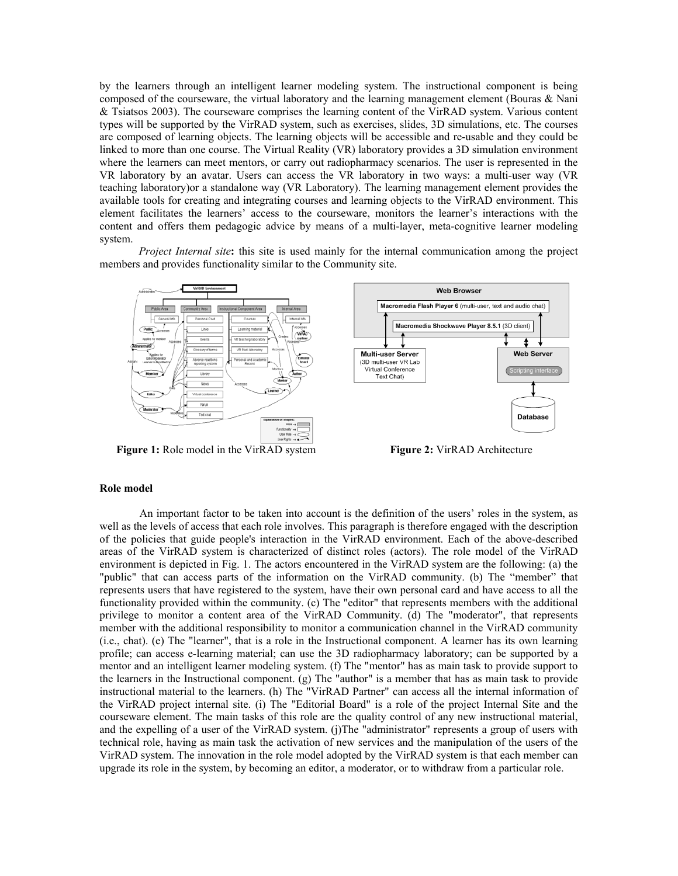by the learners through an intelligent learner modeling system. The instructional component is being composed of the courseware, the virtual laboratory and the learning management element (Bouras & Nani & Tsiatsos 2003). The courseware comprises the learning content of the VirRAD system. Various content types will be supported by the VirRAD system, such as exercises, slides, 3D simulations, etc. The courses are composed of learning objects. The learning objects will be accessible and re-usable and they could be linked to more than one course. The Virtual Reality (VR) laboratory provides a 3D simulation environment where the learners can meet mentors, or carry out radiopharmacy scenarios. The user is represented in the VR laboratory by an avatar. Users can access the VR laboratory in two ways: a multi-user way (VR teaching laboratory)or a standalone way (VR Laboratory). The learning management element provides the available tools for creating and integrating courses and learning objects to the VirRAD environment. This element facilitates the learners' access to the courseware, monitors the learner's interactions with the content and offers them pedagogic advice by means of a multi-layer, meta-cognitive learner modeling system.

*Project Internal site***:** this site is used mainly for the internal communication among the project members and provides functionality similar to the Community site.



**Figure 1:** Role model in the VirRAD system **Figure 2:** VirRAD Architecture

#### **Role model**

An important factor to be taken into account is the definition of the users' roles in the system, as well as the levels of access that each role involves. This paragraph is therefore engaged with the description of the policies that guide people's interaction in the VirRAD environment. Each of the above-described areas of the VirRAD system is characterized of distinct roles (actors). The role model of the VirRAD environment is depicted in Fig. 1. The actors encountered in the VirRAD system are the following: (a) the "public" that can access parts of the information on the VirRAD community. (b) The "member" that represents users that have registered to the system, have their own personal card and have access to all the functionality provided within the community. (c) The "editor" that represents members with the additional privilege to monitor a content area of the VirRAD Community. (d) The "moderator", that represents member with the additional responsibility to monitor a communication channel in the VirRAD community (i.e., chat). (e) The "learner", that is a role in the Instructional component. A learner has its own learning profile; can access e-learning material; can use the 3D radiopharmacy laboratory; can be supported by a mentor and an intelligent learner modeling system. (f) The "mentor" has as main task to provide support to the learners in the Instructional component. (g) The "author" is a member that has as main task to provide instructional material to the learners. (h) The "VirRAD Partner" can access all the internal information of the VirRAD project internal site. (i) The "Editorial Board" is a role of the project Internal Site and the courseware element. The main tasks of this role are the quality control of any new instructional material, and the expelling of a user of the VirRAD system. (j)The "administrator" represents a group of users with technical role, having as main task the activation of new services and the manipulation of the users of the VirRAD system. The innovation in the role model adopted by the VirRAD system is that each member can upgrade its role in the system, by becoming an editor, a moderator, or to withdraw from a particular role.